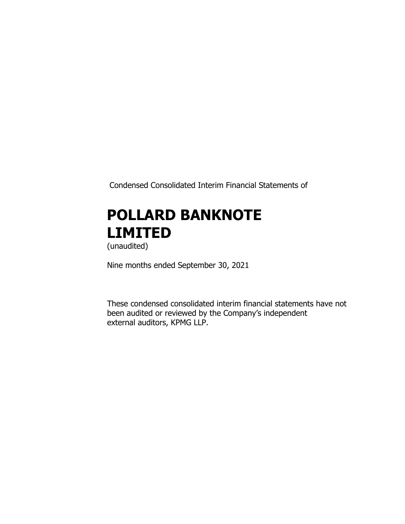Condensed Consolidated Interim Financial Statements of

# **POLLARD BANKNOTE LIMITED**

(unaudited)

Nine months ended September 30, 2021

These condensed consolidated interim financial statements have not been audited or reviewed by the Company's independent external auditors, KPMG LLP.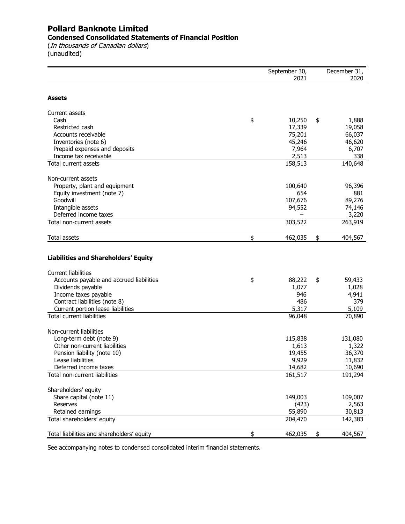### **Pollard Banknote Limited Condensed Consolidated Statements of Financial Position**

(In thousands of Canadian dollars) (unaudited)

|                                             | September 30, | December 31,  |
|---------------------------------------------|---------------|---------------|
|                                             | 2021          | 2020          |
| <b>Assets</b>                               |               |               |
|                                             |               |               |
| Current assets                              |               |               |
| Cash                                        | \$<br>10,250  | \$<br>1,888   |
| Restricted cash                             | 17,339        | 19,058        |
| Accounts receivable                         | 75,201        | 66,037        |
| Inventories (note 6)                        | 45,246        | 46,620        |
| Prepaid expenses and deposits               | 7,964         | 6,707         |
| Income tax receivable                       | 2,513         | 338           |
| Total current assets                        | 158,513       | 140,648       |
| Non-current assets                          |               |               |
| Property, plant and equipment               | 100,640       | 96,396        |
| Equity investment (note 7)                  | 654           | 881           |
| Goodwill                                    | 107,676       | 89,276        |
| Intangible assets                           | 94,552        | 74,146        |
| Deferred income taxes                       |               | 3,220         |
| Total non-current assets                    | 303,522       | 263,919       |
| Total assets                                | \$<br>462,035 | \$<br>404,567 |
|                                             |               |               |
| <b>Liabilities and Shareholders' Equity</b> |               |               |
|                                             |               |               |
| <b>Current liabilities</b>                  |               |               |
| Accounts payable and accrued liabilities    | \$<br>88,222  | \$<br>59,433  |
| Dividends payable                           | 1,077         | 1,028         |
| Income taxes payable                        | 946           | 4,941         |
| Contract liabilities (note 8)               | 486           | 379           |
| Current portion lease liabilities           | 5,317         | 5,109         |
| <b>Total current liabilities</b>            | 96,048        | 70,890        |
| Non-current liabilities                     |               |               |
| Long-term debt (note 9)                     | 115,838       | 131,080       |
| Other non-current liabilities               | 1,613         | 1,322         |
| Pension liability (note 10)                 | 19,455        | 36,370        |
| Lease liabilities                           | 9,929         | 11,832        |
| Deferred income taxes                       | 14,682        | 10,690        |
| Total non-current liabilities               | 161,517       | 191,294       |
| Shareholders' equity                        |               |               |
| Share capital (note 11)                     | 149,003       | 109,007       |
| <b>Reserves</b>                             | (423)         | 2,563         |
| Retained earnings                           | 55,890        | 30,813        |
| Total shareholders' equity                  | 204,470       | 142,383       |
| Total liabilities and shareholders' equity  | \$<br>462,035 | \$<br>404,567 |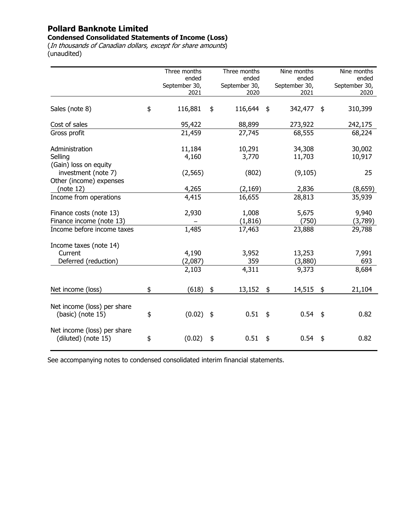#### **Condensed Consolidated Statements of Income (Loss)**

(In thousands of Canadian dollars, except for share amounts) (unaudited)

|                                                  | Three months           |               | Three months           |               | Nine months            | Nine months            |
|--------------------------------------------------|------------------------|---------------|------------------------|---------------|------------------------|------------------------|
|                                                  | ended<br>September 30, |               | ended<br>September 30, |               | ended<br>September 30, | ended<br>September 30, |
|                                                  | 2021                   |               | 2020                   |               | 2021                   | 2020                   |
|                                                  |                        |               |                        |               |                        |                        |
| Sales (note 8)                                   | \$<br>116,881          | \$            | 116,644                | \$            | 342,477                | \$<br>310,399          |
| Cost of sales                                    | 95,422                 |               | 88,899                 |               | 273,922                | 242,175                |
| Gross profit                                     | 21,459                 |               | 27,745                 |               | 68,555                 | 68,224                 |
| Administration                                   | 11,184                 |               | 10,291                 |               | 34,308                 | 30,002                 |
| Selling                                          | 4,160                  |               | 3,770                  |               | 11,703                 | 10,917                 |
| (Gain) loss on equity                            |                        |               |                        |               |                        |                        |
| investment (note 7)                              | (2, 565)               |               | (802)                  |               | (9, 105)               | 25                     |
| Other (income) expenses                          |                        |               |                        |               |                        |                        |
| (note 12)                                        | 4,265                  |               | (2, 169)               |               | 2,836                  | (8,659)                |
| Income from operations                           | 4,415                  |               | 16,655                 |               | 28,813                 | 35,939                 |
| Finance costs (note 13)                          | 2,930                  |               | 1,008                  |               | 5,675                  | 9,940                  |
| Finance income (note 13)                         |                        |               | (1, 816)               |               | (750)                  | (3,789)                |
| Income before income taxes                       | 1,485                  |               | 17,463                 |               | 23,888                 | 29,788                 |
| Income taxes (note 14)                           |                        |               |                        |               |                        |                        |
| Current                                          | 4,190                  |               | 3,952                  |               | 13,253                 | 7,991                  |
| Deferred (reduction)                             | (2,087)                |               | 359                    |               | (3,880)                | 693                    |
|                                                  | 2,103                  |               | 4,311                  |               | 9,373                  | 8,684                  |
| Net income (loss)                                | \$<br>(618)            | \$            | 13,152                 | $\frac{1}{2}$ | 14,515 \$              | 21,104                 |
|                                                  |                        |               |                        |               |                        |                        |
| Net income (loss) per share<br>(basic) (note 15) | \$<br>(0.02)           | $\frac{4}{5}$ | 0.51                   | \$            | 0.54                   | \$<br>0.82             |
| Net income (loss) per share                      |                        |               |                        |               |                        |                        |
| (diluted) (note 15)                              | \$<br>(0.02)           | \$            | 0.51                   | $\frac{1}{2}$ | 0.54                   | \$<br>0.82             |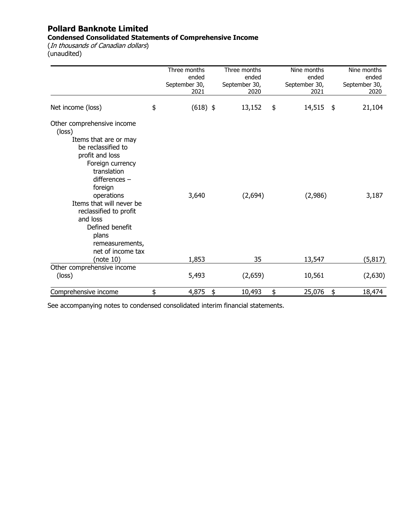### **Condensed Consolidated Statements of Comprehensive Income**

(In thousands of Canadian dollars) (unaudited)

|                                                                                                                                                                                                                                                                                                                             | Three months<br>ended<br>September 30,<br>2021 | Three months<br>ended<br>September 30,<br>2020 | Nine months<br>ended<br>September 30,<br>2021 | Nine months<br>ended<br>September 30,<br>2020 |
|-----------------------------------------------------------------------------------------------------------------------------------------------------------------------------------------------------------------------------------------------------------------------------------------------------------------------------|------------------------------------------------|------------------------------------------------|-----------------------------------------------|-----------------------------------------------|
| Net income (loss)                                                                                                                                                                                                                                                                                                           | \$<br>$(618)$ \$                               | 13,152                                         | \$<br>14,515                                  | \$<br>21,104                                  |
| Other comprehensive income<br>(loss)<br>Items that are or may<br>be reclassified to<br>profit and loss<br>Foreign currency<br>translation<br>differences $-$<br>foreign<br>operations<br>Items that will never be<br>reclassified to profit<br>and loss<br>Defined benefit<br>plans<br>remeasurements,<br>net of income tax | 3,640                                          | (2,694)                                        | (2,986)                                       | 3,187                                         |
| (note $10$ )                                                                                                                                                                                                                                                                                                                | 1,853                                          | 35                                             | 13,547                                        | (5, 817)                                      |
| Other comprehensive income<br>(loss)                                                                                                                                                                                                                                                                                        | 5,493                                          | (2,659)                                        | 10,561                                        | (2,630)                                       |
| Comprehensive income                                                                                                                                                                                                                                                                                                        | \$<br>4,875                                    | \$<br>10,493                                   | \$<br>25,076                                  | \$<br>18,474                                  |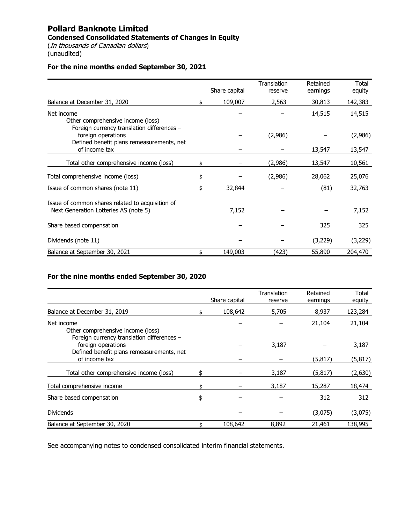# **Pollard Banknote Limited Condensed Consolidated Statements of Changes in Equity**

(In thousands of Canadian dollars) (unaudited)

### **For the nine months ended September 30, 2021**

|                                                                                                               |     | Share capital | Translation<br>reserve | Retained<br>earnings | Total<br>equity |
|---------------------------------------------------------------------------------------------------------------|-----|---------------|------------------------|----------------------|-----------------|
| Balance at December 31, 2020                                                                                  | \$. | 109,007       | 2,563                  | 30,813               | 142,383         |
| Net income<br>Other comprehensive income (loss)                                                               |     |               |                        | 14,515               | 14,515          |
| Foreign currency translation differences -<br>foreign operations<br>Defined benefit plans remeasurements, net |     |               | (2,986)                |                      | (2,986)         |
| of income tax                                                                                                 |     |               |                        | 13,547               | 13,547          |
| Total other comprehensive income (loss)                                                                       |     |               | (2,986)                | 13,547               | 10,561          |
| Total comprehensive income (loss)                                                                             | \$  |               | (2,986)                | 28,062               | 25,076          |
| Issue of common shares (note 11)                                                                              | \$  | 32,844        |                        | (81)                 | 32,763          |
| Issue of common shares related to acquisition of<br>Next Generation Lotteries AS (note 5)                     |     | 7,152         |                        |                      | 7,152           |
| Share based compensation                                                                                      |     |               |                        | 325                  | 325             |
| Dividends (note 11)                                                                                           |     |               |                        | (3,229)              | (3,229)         |
| Balance at September 30, 2021                                                                                 |     | 149,003       | (423)                  | 55,890               | 204,470         |

### **For the nine months ended September 30, 2020**

|                                            |               | Translation | Retained | Total    |
|--------------------------------------------|---------------|-------------|----------|----------|
|                                            | Share capital | reserve     | earnings | equity   |
|                                            |               |             |          |          |
| Balance at December 31, 2019               | 108,642       | 5,705       | 8,937    | 123,284  |
| Net income                                 |               |             | 21,104   | 21,104   |
| Other comprehensive income (loss)          |               |             |          |          |
| Foreign currency translation differences - |               |             |          |          |
| foreign operations                         |               | 3,187       |          | 3,187    |
| Defined benefit plans remeasurements, net  |               |             |          |          |
| of income tax                              |               |             | (5, 817) | (5, 817) |
| Total other comprehensive income (loss)    |               | 3,187       | (5,817)  | (2,630)  |
|                                            |               |             |          |          |
| Total comprehensive income                 |               | 3,187       | 15,287   | 18,474   |
| Share based compensation                   | \$            |             | 312      | 312      |
|                                            |               |             |          |          |
| <b>Dividends</b>                           |               |             | (3,075)  | (3,075)  |
| Balance at September 30, 2020              | 108,642       | 8,892       | 21,461   | 138,995  |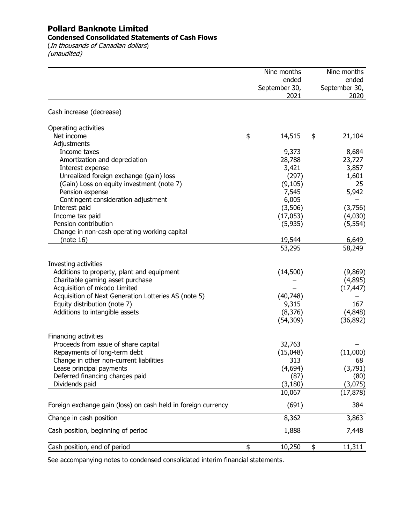### **Condensed Consolidated Statements of Cash Flows**

(In thousands of Canadian dollars) (unaudited)

|                                                               | Nine months   | Nine months   |
|---------------------------------------------------------------|---------------|---------------|
|                                                               | ended         | ended         |
|                                                               | September 30, | September 30, |
|                                                               | 2021          | 2020          |
| Cash increase (decrease)                                      |               |               |
| Operating activities                                          |               |               |
| Net income                                                    | \$<br>14,515  | \$<br>21,104  |
| Adjustments                                                   |               |               |
| Income taxes                                                  | 9,373         | 8,684         |
| Amortization and depreciation                                 | 28,788        | 23,727        |
| Interest expense                                              | 3,421         | 3,857         |
| Unrealized foreign exchange (gain) loss                       | (297)         | 1,601         |
| (Gain) Loss on equity investment (note 7)                     | (9, 105)      | 25            |
| Pension expense                                               | 7,545         | 5,942         |
| Contingent consideration adjustment                           | 6,005         |               |
| Interest paid                                                 | (3,506)       | (3,756)       |
| Income tax paid                                               | (17,053)      | (4,030)       |
| Pension contribution                                          | (5,935)       | (5, 554)      |
| Change in non-cash operating working capital                  |               |               |
| (note 16)                                                     | 19,544        | 6,649         |
|                                                               | 53,295        | 58,249        |
| Investing activities                                          |               |               |
| Additions to property, plant and equipment                    | (14,500)      | (9,869)       |
| Charitable gaming asset purchase                              |               | (4,895)       |
| Acquisition of mkodo Limited                                  |               | (17, 447)     |
| Acquisition of Next Generation Lotteries AS (note 5)          | (40, 748)     |               |
| Equity distribution (note 7)                                  | 9,315         | 167           |
| Additions to intangible assets                                | (8, 376)      | (4,848)       |
|                                                               | (54, 309)     | (36, 892)     |
| Financing activities                                          |               |               |
| Proceeds from issue of share capital                          | 32,763        |               |
| Repayments of long-term debt                                  | (15,048)      | (11,000)      |
| Change in other non-current liabilities                       | 313           | 68            |
| Lease principal payments                                      | (4,694)       | (3,791)       |
| Deferred financing charges paid                               | (87)          | (80)          |
| Dividends paid                                                | (3, 180)      | (3,075)       |
|                                                               | 10,067        | (17, 878)     |
| Foreign exchange gain (loss) on cash held in foreign currency | (691)         | 384           |
| Change in cash position                                       | 8,362         | 3,863         |
| Cash position, beginning of period                            | 1,888         | 7,448         |
| Cash position, end of period                                  | \$<br>10,250  | \$<br>11,311  |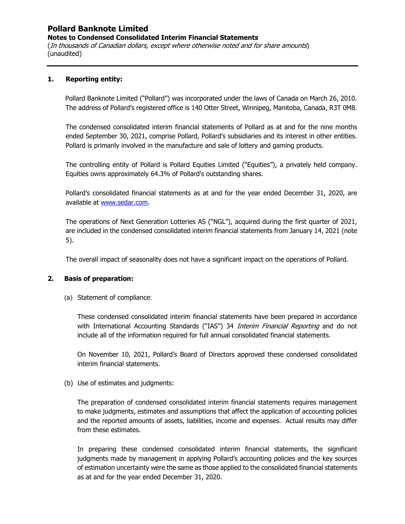**Notes to Condensed Consolidated Interim Financial Statements** 

(In thousands of Canadian dollars, except where otherwise noted and for share amounts) (unaudited)

### **1. Reporting entity:**

Pollard Banknote Limited ("Pollard") was incorporated under the laws of Canada on March 26, 2010. The address of Pollard's registered office is 140 Otter Street, Winnipeg, Manitoba, Canada, R3T 0M8.

The condensed consolidated interim financial statements of Pollard as at and for the nine months ended September 30, 2021, comprise Pollard, Pollard's subsidiaries and its interest in other entities. Pollard is primarily involved in the manufacture and sale of lottery and gaming products.

The controlling entity of Pollard is Pollard Equities Limited ("Equities"), a privately held company. Equities owns approximately 64.3% of Pollard's outstanding shares.

Pollard's consolidated financial statements as at and for the year ended December 31, 2020, are available at www.sedar.com.

The operations of Next Generation Lotteries AS ("NGL"), acquired during the first quarter of 2021, are included in the condensed consolidated interim financial statements from January 14, 2021 (note 5).

The overall impact of seasonality does not have a significant impact on the operations of Pollard.

### **2. Basis of preparation:**

(a) Statement of compliance:

These condensed consolidated interim financial statements have been prepared in accordance with International Accounting Standards ("IAS") 34 *Interim Financial Reporting* and do not include all of the information required for full annual consolidated financial statements.

On November 10, 2021, Pollard's Board of Directors approved these condensed consolidated interim financial statements.

(b) Use of estimates and judgments:

The preparation of condensed consolidated interim financial statements requires management to make judgments, estimates and assumptions that affect the application of accounting policies and the reported amounts of assets, liabilities, income and expenses. Actual results may differ from these estimates.

In preparing these condensed consolidated interim financial statements, the significant judgments made by management in applying Pollard's accounting policies and the key sources of estimation uncertainty were the same as those applied to the consolidated financial statements as at and for the year ended December 31, 2020.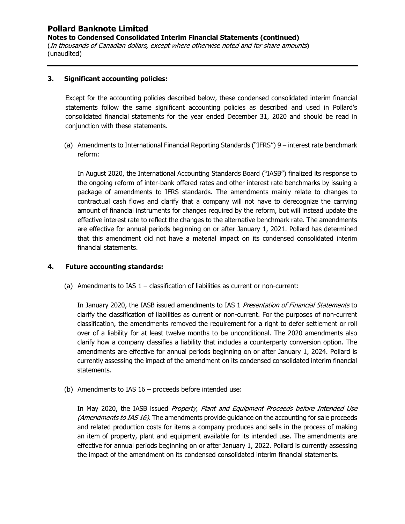**Notes to Condensed Consolidated Interim Financial Statements (continued)**  (In thousands of Canadian dollars, except where otherwise noted and for share amounts) (unaudited)

### **3. Significant accounting policies:**

Except for the accounting policies described below, these condensed consolidated interim financial statements follow the same significant accounting policies as described and used in Pollard's consolidated financial statements for the year ended December 31, 2020 and should be read in conjunction with these statements.

(a) Amendments to International Financial Reporting Standards ("IFRS") 9 – interest rate benchmark reform:

In August 2020, the International Accounting Standards Board ("IASB") finalized its response to the ongoing reform of inter-bank offered rates and other interest rate benchmarks by issuing a package of amendments to IFRS standards. The amendments mainly relate to changes to contractual cash flows and clarify that a company will not have to derecognize the carrying amount of financial instruments for changes required by the reform, but will instead update the effective interest rate to reflect the changes to the alternative benchmark rate. The amendments are effective for annual periods beginning on or after January 1, 2021. Pollard has determined that this amendment did not have a material impact on its condensed consolidated interim financial statements.

### **4. Future accounting standards:**

(a) Amendments to IAS  $1 -$  classification of liabilities as current or non-current:

In January 2020, the IASB issued amendments to IAS 1 Presentation of Financial Statements to clarify the classification of liabilities as current or non-current. For the purposes of non-current classification, the amendments removed the requirement for a right to defer settlement or roll over of a liability for at least twelve months to be unconditional. The 2020 amendments also clarify how a company classifies a liability that includes a counterparty conversion option. The amendments are effective for annual periods beginning on or after January 1, 2024. Pollard is currently assessing the impact of the amendment on its condensed consolidated interim financial statements.

(b) Amendments to IAS 16 – proceeds before intended use:

In May 2020, the IASB issued Property, Plant and Equipment Proceeds before Intended Use (Amendments to IAS 16). The amendments provide guidance on the accounting for sale proceeds and related production costs for items a company produces and sells in the process of making an item of property, plant and equipment available for its intended use. The amendments are effective for annual periods beginning on or after January 1, 2022. Pollard is currently assessing the impact of the amendment on its condensed consolidated interim financial statements.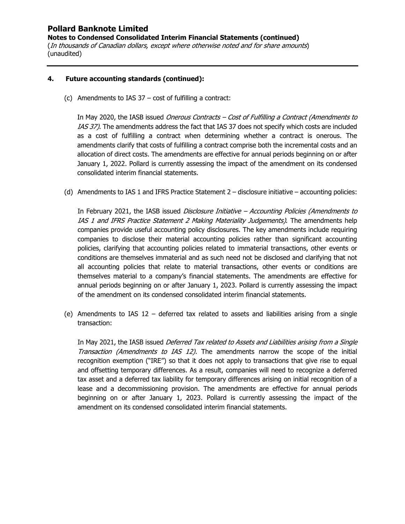**Notes to Condensed Consolidated Interim Financial Statements (continued)**  (In thousands of Canadian dollars, except where otherwise noted and for share amounts) (unaudited)

### **4. Future accounting standards (continued):**

(c) Amendments to IAS 37 – cost of fulfilling a contract:

In May 2020, the IASB issued *Onerous Contracts – Cost of Fulfilling a Contract (Amendments to* IAS 37). The amendments address the fact that IAS 37 does not specify which costs are included as a cost of fulfilling a contract when determining whether a contract is onerous. The amendments clarify that costs of fulfilling a contract comprise both the incremental costs and an allocation of direct costs. The amendments are effective for annual periods beginning on or after January 1, 2022. Pollard is currently assessing the impact of the amendment on its condensed consolidated interim financial statements.

(d) Amendments to IAS 1 and IFRS Practice Statement 2 – disclosure initiative – accounting policies:

In February 2021, the IASB issued Disclosure Initiative – Accounting Policies (Amendments to IAS 1 and IFRS Practice Statement 2 Making Materiality Judgements). The amendments help companies provide useful accounting policy disclosures. The key amendments include requiring companies to disclose their material accounting policies rather than significant accounting policies, clarifying that accounting policies related to immaterial transactions, other events or conditions are themselves immaterial and as such need not be disclosed and clarifying that not all accounting policies that relate to material transactions, other events or conditions are themselves material to a company's financial statements. The amendments are effective for annual periods beginning on or after January 1, 2023. Pollard is currently assessing the impact of the amendment on its condensed consolidated interim financial statements.

(e) Amendments to IAS 12 – deferred tax related to assets and liabilities arising from a single transaction:

In May 2021, the IASB issued *Deferred Tax related to Assets and Liabilities arising from a Single* Transaction (Amendments to IAS 12). The amendments narrow the scope of the initial recognition exemption ("IRE") so that it does not apply to transactions that give rise to equal and offsetting temporary differences. As a result, companies will need to recognize a deferred tax asset and a deferred tax liability for temporary differences arising on initial recognition of a lease and a decommissioning provision. The amendments are effective for annual periods beginning on or after January 1, 2023. Pollard is currently assessing the impact of the amendment on its condensed consolidated interim financial statements.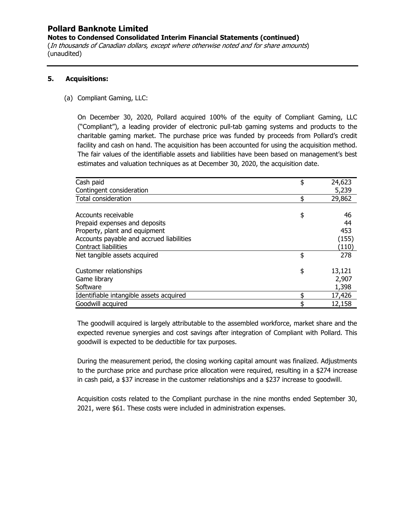**Notes to Condensed Consolidated Interim Financial Statements (continued)**  (In thousands of Canadian dollars, except where otherwise noted and for share amounts) (unaudited)

### **5. Acquisitions:**

### (a) Compliant Gaming, LLC:

On December 30, 2020, Pollard acquired 100% of the equity of Compliant Gaming, LLC ("Compliant"), a leading provider of electronic pull-tab gaming systems and products to the charitable gaming market. The purchase price was funded by proceeds from Pollard's credit facility and cash on hand. The acquisition has been accounted for using the acquisition method. The fair values of the identifiable assets and liabilities have been based on management's best estimates and valuation techniques as at December 30, 2020, the acquisition date.

| Cash paid                                | \$<br>24,623 |
|------------------------------------------|--------------|
| Contingent consideration                 | 5,239        |
| <b>Total consideration</b>               | \$<br>29,862 |
|                                          |              |
| Accounts receivable                      | \$<br>46     |
| Prepaid expenses and deposits            | 44           |
| Property, plant and equipment            | 453          |
| Accounts payable and accrued liabilities | (155)        |
| <b>Contract liabilities</b>              | (110)        |
| Net tangible assets acquired             | \$<br>278    |
|                                          |              |
| Customer relationships                   | \$<br>13,121 |
| Game library                             | 2,907        |
| Software                                 | 1,398        |
| Identifiable intangible assets acquired  | \$<br>17,426 |
| Goodwill acquired                        | \$<br>12,158 |

The goodwill acquired is largely attributable to the assembled workforce, market share and the expected revenue synergies and cost savings after integration of Compliant with Pollard. This goodwill is expected to be deductible for tax purposes.

During the measurement period, the closing working capital amount was finalized. Adjustments to the purchase price and purchase price allocation were required, resulting in a \$274 increase in cash paid, a \$37 increase in the customer relationships and a \$237 increase to goodwill.

Acquisition costs related to the Compliant purchase in the nine months ended September 30, 2021, were \$61. These costs were included in administration expenses.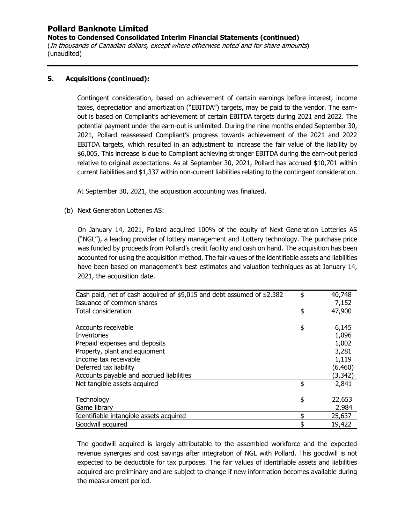**Notes to Condensed Consolidated Interim Financial Statements (continued)**  (In thousands of Canadian dollars, except where otherwise noted and for share amounts) (unaudited)

### **5. Acquisitions (continued):**

Contingent consideration, based on achievement of certain earnings before interest, income taxes, depreciation and amortization ("EBITDA") targets, may be paid to the vendor. The earnout is based on Compliant's achievement of certain EBITDA targets during 2021 and 2022. The potential payment under the earn-out is unlimited. During the nine months ended September 30, 2021, Pollard reassessed Compliant's progress towards achievement of the 2021 and 2022 EBITDA targets, which resulted in an adjustment to increase the fair value of the liability by \$6,005. This increase is due to Compliant achieving stronger EBITDA during the earn-out period relative to original expectations. As at September 30, 2021, Pollard has accrued \$10,701 within current liabilities and \$1,337 within non-current liabilities relating to the contingent consideration.

At September 30, 2021, the acquisition accounting was finalized.

(b) Next Generation Lotteries AS:

On January 14, 2021, Pollard acquired 100% of the equity of Next Generation Lotteries AS ("NGL"), a leading provider of lottery management and iLottery technology. The purchase price was funded by proceeds from Pollard's credit facility and cash on hand. The acquisition has been accounted for using the acquisition method. The fair values of the identifiable assets and liabilities have been based on management's best estimates and valuation techniques as at January 14, 2021, the acquisition date.

| Cash paid, net of cash acquired of \$9,015 and debt assumed of \$2,382 | \$<br>40,748 |
|------------------------------------------------------------------------|--------------|
| Issuance of common shares                                              | 7,152        |
| <b>Total consideration</b>                                             | \$<br>47,900 |
|                                                                        |              |
| Accounts receivable                                                    | \$<br>6,145  |
| Inventories                                                            | 1,096        |
| Prepaid expenses and deposits                                          | 1,002        |
| Property, plant and equipment                                          | 3,281        |
| Income tax receivable                                                  | 1,119        |
| Deferred tax liability                                                 | (6,460)      |
| Accounts payable and accrued liabilities                               | (3,342)      |
| Net tangible assets acquired                                           | \$<br>2,841  |
| Technology                                                             | \$<br>22,653 |
| Game library                                                           | 2,984        |
| Identifiable intangible assets acquired                                | \$<br>25,637 |
| Goodwill acquired                                                      | \$<br>19,422 |

The goodwill acquired is largely attributable to the assembled workforce and the expected revenue synergies and cost savings after integration of NGL with Pollard. This goodwill is not expected to be deductible for tax purposes. The fair values of identifiable assets and liabilities acquired are preliminary and are subject to change if new information becomes available during the measurement period.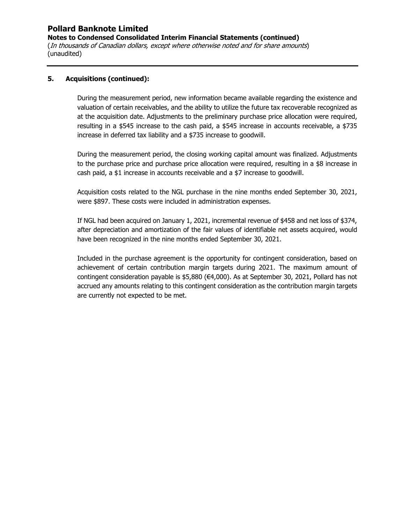**Notes to Condensed Consolidated Interim Financial Statements (continued)**  (In thousands of Canadian dollars, except where otherwise noted and for share amounts) (unaudited)

### **5. Acquisitions (continued):**

During the measurement period, new information became available regarding the existence and valuation of certain receivables, and the ability to utilize the future tax recoverable recognized as at the acquisition date. Adjustments to the preliminary purchase price allocation were required, resulting in a \$545 increase to the cash paid, a \$545 increase in accounts receivable, a \$735 increase in deferred tax liability and a \$735 increase to goodwill.

During the measurement period, the closing working capital amount was finalized. Adjustments to the purchase price and purchase price allocation were required, resulting in a \$8 increase in cash paid, a \$1 increase in accounts receivable and a \$7 increase to goodwill.

Acquisition costs related to the NGL purchase in the nine months ended September 30, 2021, were \$897. These costs were included in administration expenses.

If NGL had been acquired on January 1, 2021, incremental revenue of \$458 and net loss of \$374, after depreciation and amortization of the fair values of identifiable net assets acquired, would have been recognized in the nine months ended September 30, 2021.

Included in the purchase agreement is the opportunity for contingent consideration, based on achievement of certain contribution margin targets during 2021. The maximum amount of contingent consideration payable is \$5,880 (€4,000). As at September 30, 2021, Pollard has not accrued any amounts relating to this contingent consideration as the contribution margin targets are currently not expected to be met.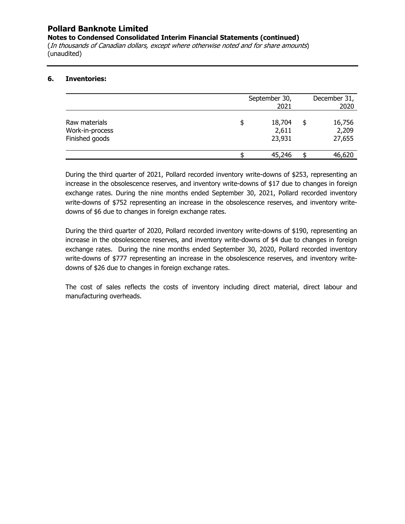**Notes to Condensed Consolidated Interim Financial Statements (continued)** 

(In thousands of Canadian dollars, except where otherwise noted and for share amounts) (unaudited)

### **6. Inventories:**

|                                                    |   | September 30,<br>2021     |   | December 31,<br>2020      |
|----------------------------------------------------|---|---------------------------|---|---------------------------|
| Raw materials<br>Work-in-process<br>Finished goods | S | 18,704<br>2,611<br>23,931 | S | 16,756<br>2,209<br>27,655 |
|                                                    |   | 45,246                    |   | 46,620                    |

During the third quarter of 2021, Pollard recorded inventory write-downs of \$253, representing an increase in the obsolescence reserves, and inventory write-downs of \$17 due to changes in foreign exchange rates. During the nine months ended September 30, 2021, Pollard recorded inventory write-downs of \$752 representing an increase in the obsolescence reserves, and inventory writedowns of \$6 due to changes in foreign exchange rates.

During the third quarter of 2020, Pollard recorded inventory write-downs of \$190, representing an increase in the obsolescence reserves, and inventory write-downs of \$4 due to changes in foreign exchange rates. During the nine months ended September 30, 2020, Pollard recorded inventory write-downs of \$777 representing an increase in the obsolescence reserves, and inventory writedowns of \$26 due to changes in foreign exchange rates.

The cost of sales reflects the costs of inventory including direct material, direct labour and manufacturing overheads.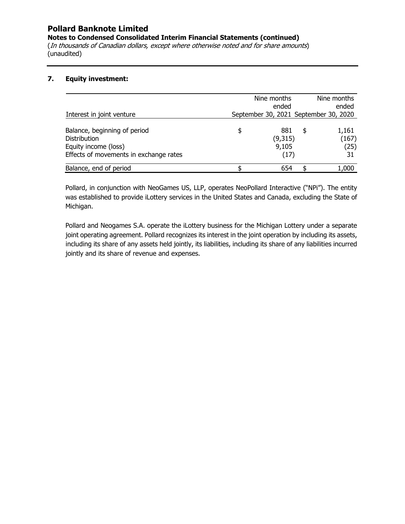**Notes to Condensed Consolidated Interim Financial Statements (continued)** 

(In thousands of Canadian dollars, except where otherwise noted and for share amounts) (unaudited)

### **7. Equity investment:**

|                                                                                                                       |    | Nine months<br>ended            | Nine months<br>ended                  |
|-----------------------------------------------------------------------------------------------------------------------|----|---------------------------------|---------------------------------------|
| Interest in joint venture                                                                                             |    |                                 | September 30, 2021 September 30, 2020 |
| Balance, beginning of period<br><b>Distribution</b><br>Equity income (loss)<br>Effects of movements in exchange rates | \$ | 881<br>(9,315)<br>9,105<br>(17) | \$<br>1,161<br>(167)<br>(25)<br>31    |
| Balance, end of period                                                                                                | c  | 654                             | 1,000                                 |

Pollard, in conjunction with NeoGames US, LLP, operates NeoPollard Interactive ("NPi"). The entity was established to provide iLottery services in the United States and Canada, excluding the State of Michigan.

Pollard and Neogames S.A. operate the iLottery business for the Michigan Lottery under a separate joint operating agreement. Pollard recognizes its interest in the joint operation by including its assets, including its share of any assets held jointly, its liabilities, including its share of any liabilities incurred jointly and its share of revenue and expenses.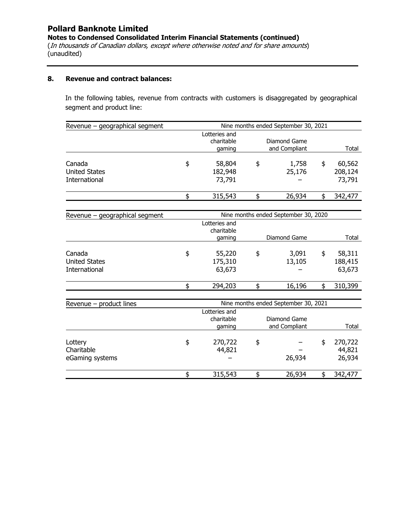**Notes to Condensed Consolidated Interim Financial Statements (continued)** 

(In thousands of Canadian dollars, except where otherwise noted and for share amounts) (unaudited)

#### **8. Revenue and contract balances:**

In the following tables, revenue from contracts with customers is disaggregated by geographical segment and product line:

| Revenue - geographical segment | Nine months ended September 30, 2021 |    |                                      |    |         |
|--------------------------------|--------------------------------------|----|--------------------------------------|----|---------|
|                                | Lotteries and                        |    |                                      |    |         |
|                                | charitable                           |    | Diamond Game                         |    |         |
|                                | gaming                               |    | and Compliant                        |    | Total   |
| Canada                         | \$<br>58,804                         | \$ | 1,758                                | \$ | 60,562  |
| <b>United States</b>           | 182,948                              |    | 25,176                               |    | 208,124 |
| International                  |                                      |    |                                      |    |         |
|                                | 73,791                               |    |                                      |    | 73,791  |
|                                | \$<br>315,543                        | \$ | 26,934                               | \$ | 342,477 |
|                                |                                      |    |                                      |    |         |
| Revenue - geographical segment |                                      |    | Nine months ended September 30, 2020 |    |         |
|                                | Lotteries and                        |    |                                      |    |         |
|                                | charitable                           |    |                                      |    |         |
|                                | gaming                               |    | Diamond Game                         |    | Total   |
| Canada                         | \$<br>55,220                         | \$ | 3,091                                | \$ | 58,311  |
| <b>United States</b>           | 175,310                              |    | 13,105                               |    | 188,415 |
| <b>International</b>           | 63,673                               |    |                                      |    | 63,673  |
|                                |                                      |    |                                      |    |         |
|                                | \$<br>294,203                        | \$ | 16,196                               | \$ | 310,399 |
|                                |                                      |    |                                      |    |         |
| Revenue - product lines        |                                      |    | Nine months ended September 30, 2021 |    |         |
|                                | Lotteries and                        |    |                                      |    |         |
|                                | charitable                           |    | Diamond Game                         |    |         |
|                                | gaming                               |    | and Compliant                        |    | Total   |
| Lottery                        | \$<br>270,722                        | \$ |                                      | \$ | 270,722 |
| Charitable                     | 44,821                               |    |                                      |    | 44,821  |
| eGaming systems                |                                      |    | 26,934                               |    | 26,934  |
|                                |                                      |    |                                      |    |         |
|                                | \$<br>315,543                        | \$ | 26,934                               | \$ | 342,477 |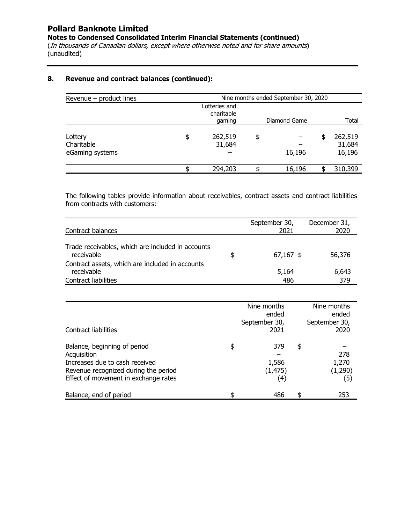**Notes to Condensed Consolidated Interim Financial Statements (continued)** 

(In thousands of Canadian dollars, except where otherwise noted and for share amounts) (unaudited)

### **8. Revenue and contract balances (continued):**

| Revenue - product lines                  | Nine months ended September 30, 2020 |                             |    |              |  |                             |  |
|------------------------------------------|--------------------------------------|-----------------------------|----|--------------|--|-----------------------------|--|
|                                          |                                      | Lotteries and<br>charitable |    |              |  |                             |  |
|                                          |                                      | gaming                      |    | Diamond Game |  | Total                       |  |
| Lottery<br>Charitable<br>eGaming systems | \$                                   | 262,519<br>31,684           | \$ | 16,196       |  | 262,519<br>31,684<br>16,196 |  |
|                                          |                                      | 294,203                     |    | 16,196       |  | 310,399                     |  |

The following tables provide information about receivables, contract assets and contract liabilities from contracts with customers:

| Contract balances                                                                            | September 30,<br>2021 | December 31,<br>2020 |
|----------------------------------------------------------------------------------------------|-----------------------|----------------------|
| Trade receivables, which are included in accounts<br>receivable                              | \$<br>$67,167$ \$     | 56,376               |
| Contract assets, which are included in accounts<br>receivable<br><b>Contract liabilities</b> | 5,164<br>486          | 6,643<br>379         |

| Contract liabilities                                                                                                                                          | Nine months<br>ended<br>September 30,<br>2021       | Nine months<br>ended<br>September 30,<br>2020 |
|---------------------------------------------------------------------------------------------------------------------------------------------------------------|-----------------------------------------------------|-----------------------------------------------|
| Balance, beginning of period<br>Acquisition<br>Increases due to cash received<br>Revenue recognized during the period<br>Effect of movement in exchange rates | \$<br>379<br>1,586<br>(1, 475)<br>$\left( 4\right)$ | \$<br>278<br>1,270<br>(1,290)<br>(5)          |
| Balance, end of period                                                                                                                                        | 486                                                 | 253                                           |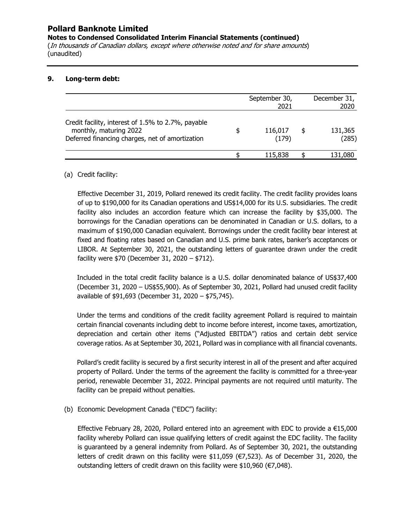**Notes to Condensed Consolidated Interim Financial Statements (continued)** 

(In thousands of Canadian dollars, except where otherwise noted and for share amounts) (unaudited)

### **9. Long-term debt:**

|                                                                                                                                 |   | September 30,<br>2021 |   | December 31,<br>2020 |
|---------------------------------------------------------------------------------------------------------------------------------|---|-----------------------|---|----------------------|
| Credit facility, interest of 1.5% to 2.7%, payable<br>monthly, maturing 2022<br>Deferred financing charges, net of amortization | S | 116,017<br>(179)      | S | 131,365<br>(285)     |
|                                                                                                                                 |   | 115,838               |   | 131,080              |

### (a) Credit facility:

Effective December 31, 2019, Pollard renewed its credit facility. The credit facility provides loans of up to \$190,000 for its Canadian operations and US\$14,000 for its U.S. subsidiaries. The credit facility also includes an accordion feature which can increase the facility by \$35,000. The borrowings for the Canadian operations can be denominated in Canadian or U.S. dollars, to a maximum of \$190,000 Canadian equivalent. Borrowings under the credit facility bear interest at fixed and floating rates based on Canadian and U.S. prime bank rates, banker's acceptances or LIBOR. At September 30, 2021, the outstanding letters of guarantee drawn under the credit facility were \$70 (December 31, 2020 – \$712).

Included in the total credit facility balance is a U.S. dollar denominated balance of US\$37,400 (December 31, 2020 – US\$55,900). As of September 30, 2021, Pollard had unused credit facility available of \$91,693 (December 31, 2020 – \$75,745).

Under the terms and conditions of the credit facility agreement Pollard is required to maintain certain financial covenants including debt to income before interest, income taxes, amortization, depreciation and certain other items ("Adjusted EBITDA") ratios and certain debt service coverage ratios. As at September 30, 2021, Pollard was in compliance with all financial covenants.

Pollard's credit facility is secured by a first security interest in all of the present and after acquired property of Pollard. Under the terms of the agreement the facility is committed for a three-year period, renewable December 31, 2022. Principal payments are not required until maturity. The facility can be prepaid without penalties.

(b) Economic Development Canada ("EDC") facility:

Effective February 28, 2020, Pollard entered into an agreement with EDC to provide a  $€15,000$ facility whereby Pollard can issue qualifying letters of credit against the EDC facility. The facility is guaranteed by a general indemnity from Pollard. As of September 30, 2021, the outstanding letters of credit drawn on this facility were  $$11,059$  ( $E7,523$ ). As of December 31, 2020, the outstanding letters of credit drawn on this facility were \$10,960 (€7,048).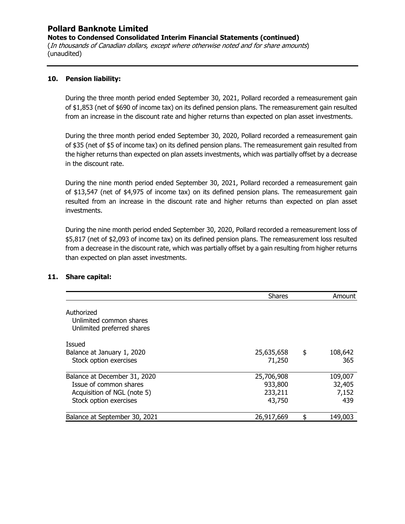**Notes to Condensed Consolidated Interim Financial Statements (continued)**  (In thousands of Canadian dollars, except where otherwise noted and for share amounts) (unaudited)

### **10. Pension liability:**

During the three month period ended September 30, 2021, Pollard recorded a remeasurement gain of \$1,853 (net of \$690 of income tax) on its defined pension plans. The remeasurement gain resulted from an increase in the discount rate and higher returns than expected on plan asset investments.

During the three month period ended September 30, 2020, Pollard recorded a remeasurement gain of \$35 (net of \$5 of income tax) on its defined pension plans. The remeasurement gain resulted from the higher returns than expected on plan assets investments, which was partially offset by a decrease in the discount rate.

During the nine month period ended September 30, 2021, Pollard recorded a remeasurement gain of \$13,547 (net of \$4,975 of income tax) on its defined pension plans. The remeasurement gain resulted from an increase in the discount rate and higher returns than expected on plan asset investments.

During the nine month period ended September 30, 2020, Pollard recorded a remeasurement loss of \$5,817 (net of \$2,093 of income tax) on its defined pension plans. The remeasurement loss resulted from a decrease in the discount rate, which was partially offset by a gain resulting from higher returns than expected on plan asset investments.

|                                                                     | <b>Shares</b> | Amount        |
|---------------------------------------------------------------------|---------------|---------------|
| Authorized<br>Unlimited common shares<br>Unlimited preferred shares |               |               |
| Issued                                                              |               |               |
| Balance at January 1, 2020                                          | 25,635,658    | \$<br>108,642 |
| Stock option exercises                                              | 71,250        | 365           |
| Balance at December 31, 2020                                        | 25,706,908    | 109,007       |
| Issue of common shares                                              | 933,800       | 32,405        |
| Acquisition of NGL (note 5)                                         | 233,211       | 7,152         |
| Stock option exercises                                              | 43,750        | 439           |
| Balance at September 30, 2021                                       | 26,917,669    | 149,003       |

### **11. Share capital:**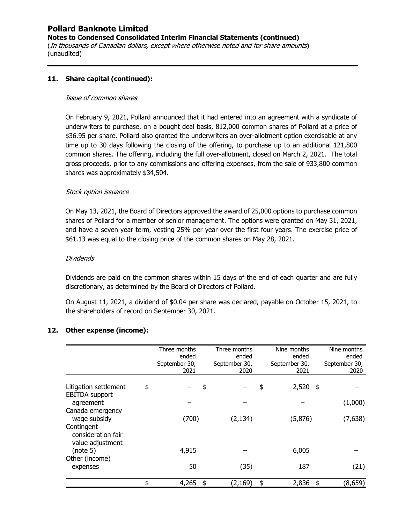**Notes to Condensed Consolidated Interim Financial Statements (continued)** 

(In thousands of Canadian dollars, except where otherwise noted and for share amounts) (unaudited)

### **11. Share capital (continued):**

#### Issue of common shares

On February 9, 2021, Pollard announced that it had entered into an agreement with a syndicate of underwriters to purchase, on a bought deal basis, 812,000 common shares of Pollard at a price of \$36.95 per share. Pollard also granted the underwriters an over-allotment option exercisable at any time up to 30 days following the closing of the offering, to purchase up to an additional 121,800 common shares. The offering, including the full over-allotment, closed on March 2, 2021. The total gross proceeds, prior to any commissions and offering expenses, from the sale of 933,800 common shares was approximately \$34,504.

### Stock option issuance

On May 13, 2021, the Board of Directors approved the award of 25,000 options to purchase common shares of Pollard for a member of senior management. The options were granted on May 31, 2021, and have a seven year term, vesting 25% per year over the first four years. The exercise price of \$61.13 was equal to the closing price of the common shares on May 28, 2021.

### Dividends

Dividends are paid on the common shares within 15 days of the end of each quarter and are fully discretionary, as determined by the Board of Directors of Pollard.

On August 11, 2021, a dividend of \$0.04 per share was declared, payable on October 15, 2021, to the shareholders of record on September 30, 2021.

### **12. Other expense (income):**

|                                                      | Three months<br>ended<br>September 30,<br>2021 |     | Three months<br>ended<br>September 30,<br>2020 | Nine months<br>ended<br>September 30,<br>2021 | Nine months<br>ended<br>September 30,<br>2020 |
|------------------------------------------------------|------------------------------------------------|-----|------------------------------------------------|-----------------------------------------------|-----------------------------------------------|
| Litigation settlement<br><b>EBITDA</b> support       | \$                                             | \$  |                                                | \$<br>2,520                                   | \$                                            |
| agreement                                            |                                                |     |                                                |                                               | (1,000)                                       |
| Canada emergency<br>wage subsidy                     | (700)                                          |     | (2, 134)                                       | (5,876)                                       | (7,638)                                       |
| Contingent<br>consideration fair<br>value adjustment |                                                |     |                                                |                                               |                                               |
| (note 5)                                             | 4,915                                          |     |                                                | 6,005                                         |                                               |
| Other (income)<br>expenses                           | 50                                             |     | (35)                                           | 187                                           | (21)                                          |
|                                                      | \$<br>4,265                                    | -\$ | (2, 169)                                       | \$<br>2,836                                   | \$<br>(8,659)                                 |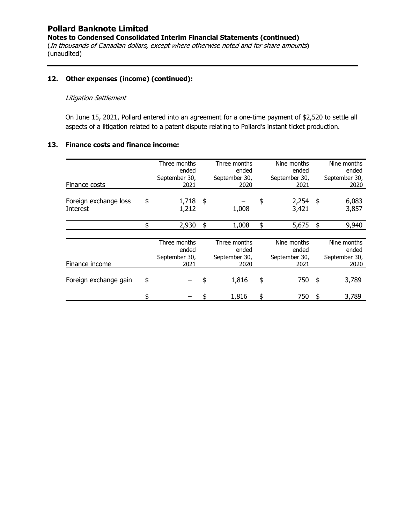**Notes to Condensed Consolidated Interim Financial Statements (continued)** 

(In thousands of Canadian dollars, except where otherwise noted and for share amounts) (unaudited)

### **12. Other expenses (income) (continued):**

### Litigation Settlement

On June 15, 2021, Pollard entered into an agreement for a one-time payment of \$2,520 to settle all aspects of a litigation related to a patent dispute relating to Pollard's instant ticket production.

### **13. Finance costs and finance income:**

| Finance costs                     | Three months<br>ended<br>September 30,<br>2021 | Three months<br>ended<br>September 30,<br>2020 | Nine months<br>ended<br>September 30,<br>2021 | Nine months<br>ended<br>September 30,<br>2020 |
|-----------------------------------|------------------------------------------------|------------------------------------------------|-----------------------------------------------|-----------------------------------------------|
| Foreign exchange loss<br>Interest | \$<br>1,718<br>1,212                           | \$<br>1,008                                    | \$<br>2,254<br>3,421                          | \$<br>6,083<br>3,857                          |
|                                   | \$<br>2,930                                    | \$<br>1,008                                    | \$<br>5,675                                   | \$<br>9,940                                   |
| Finance income                    | Three months<br>ended<br>September 30,<br>2021 | Three months<br>ended<br>September 30,<br>2020 | Nine months<br>ended<br>September 30,<br>2021 | Nine months<br>ended<br>September 30,<br>2020 |
| Foreign exchange gain             | \$                                             | \$<br>1,816                                    | \$<br>750                                     | \$<br>3,789                                   |
|                                   | \$                                             | 1,816                                          | \$<br>750                                     | \$<br>3,789                                   |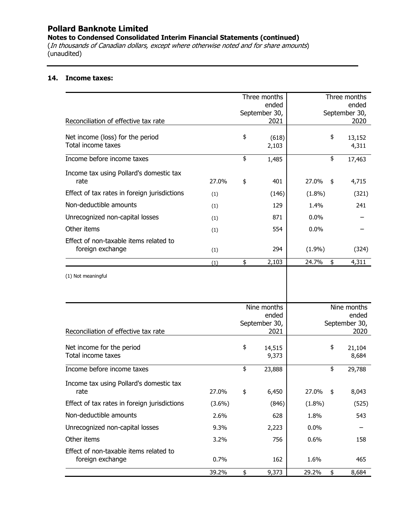**Notes to Condensed Consolidated Interim Financial Statements (continued)** 

(In thousands of Canadian dollars, except where otherwise noted and for share amounts) (unaudited)

### **14. Income taxes:**

|                                                            |           | Three months<br>ended                         |           | Three months<br>ended                         |
|------------------------------------------------------------|-----------|-----------------------------------------------|-----------|-----------------------------------------------|
| Reconciliation of effective tax rate                       |           | September 30,<br>2021                         |           | September 30,<br>2020                         |
| Net income (loss) for the period<br>Total income taxes     |           | \$<br>(618)<br>2,103                          |           | \$<br>13,152<br>4,311                         |
| Income before income taxes                                 |           | \$<br>1,485                                   |           | \$<br>17,463                                  |
| Income tax using Pollard's domestic tax<br>rate            | 27.0%     | \$<br>401                                     | 27.0%     | \$<br>4,715                                   |
| Effect of tax rates in foreign jurisdictions               | (1)       | (146)                                         | $(1.8\%)$ | (321)                                         |
| Non-deductible amounts                                     | (1)       | 129                                           | 1.4%      | 241                                           |
| Unrecognized non-capital losses                            | (1)       | 871                                           | 0.0%      |                                               |
| Other items                                                | (1)       | 554                                           | 0.0%      |                                               |
| Effect of non-taxable items related to<br>foreign exchange | (1)       | 294                                           | (1.9%)    | (324)                                         |
|                                                            | (1)       | \$<br>2,103                                   | 24.7%     | \$<br>4,311                                   |
|                                                            |           |                                               |           |                                               |
| Reconciliation of effective tax rate                       |           | Nine months<br>ended<br>September 30,<br>2021 |           | Nine months<br>ended<br>September 30,<br>2020 |
| Net income for the period<br>Total income taxes            |           | \$<br>14,515<br>9,373                         |           | \$<br>21,104<br>8,684                         |
| Income before income taxes                                 |           | \$<br>23,888                                  |           | \$<br>29,788                                  |
| Income tax using Pollard's domestic tax<br>rate            | 27.0%     | \$<br>6,450                                   | 27.0%     | \$<br>8,043                                   |
| Effect of tax rates in foreign jurisdictions               | $(3.6\%)$ | (846)                                         | $(1.8\%)$ | (525)                                         |
| Non-deductible amounts                                     | 2.6%      | 628                                           | 1.8%      | 543                                           |
| Unrecognized non-capital losses                            | 9.3%      | 2,223                                         | 0.0%      |                                               |
| Other items                                                | 3.2%      | 756                                           | 0.6%      | 158                                           |
| Effect of non-taxable items related to<br>foreign exchange | 0.7%      | 162                                           | 1.6%      | 465                                           |
|                                                            | 39.2%     | \$<br>9,373                                   | 29.2%     | \$<br>8,684                                   |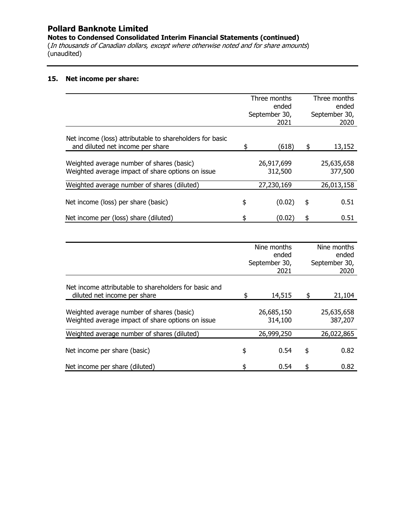**Notes to Condensed Consolidated Interim Financial Statements (continued)** 

(In thousands of Canadian dollars, except where otherwise noted and for share amounts) (unaudited)

### **15. Net income per share:**

|                                                                                                |    | Three months           |                        | Three months          |
|------------------------------------------------------------------------------------------------|----|------------------------|------------------------|-----------------------|
|                                                                                                |    | ended<br>September 30, | ended<br>September 30, |                       |
|                                                                                                |    | 2021                   |                        | 2020                  |
| Net income (loss) attributable to shareholders for basic<br>and diluted net income per share   | \$ | (618)                  | \$                     | 13,152                |
| Weighted average number of shares (basic)<br>Weighted average impact of share options on issue |    | 26,917,699<br>312,500  |                        | 25,635,658<br>377,500 |
| Weighted average number of shares (diluted)                                                    |    | 27,230,169             |                        | 26,013,158            |
| Net income (loss) per share (basic)                                                            | \$ | (0.02)                 | \$                     | 0.51                  |
| Net income per (loss) share (diluted)                                                          | S  | (0.02)                 | \$                     | 0.51                  |
|                                                                                                |    |                        |                        |                       |

|                                                       | Nine months   |       | Nine months   |  |
|-------------------------------------------------------|---------------|-------|---------------|--|
|                                                       | ended         | ended |               |  |
|                                                       | September 30, |       | September 30, |  |
|                                                       | 2021          |       | 2020          |  |
| Net income attributable to shareholders for basic and |               |       |               |  |
| diluted net income per share                          | \$<br>14,515  | \$    | 21,104        |  |
|                                                       |               |       |               |  |
| Weighted average number of shares (basic)             | 26,685,150    |       | 25,635,658    |  |
| Weighted average impact of share options on issue     | 314,100       |       | 387,207       |  |
| Weighted average number of shares (diluted)           | 26,999,250    |       | 26,022,865    |  |
|                                                       |               |       |               |  |
| Net income per share (basic)                          | \$<br>0.54    | \$    | 0.82          |  |
| Net income per share (diluted)                        | \$<br>0.54    | \$    | 0.82          |  |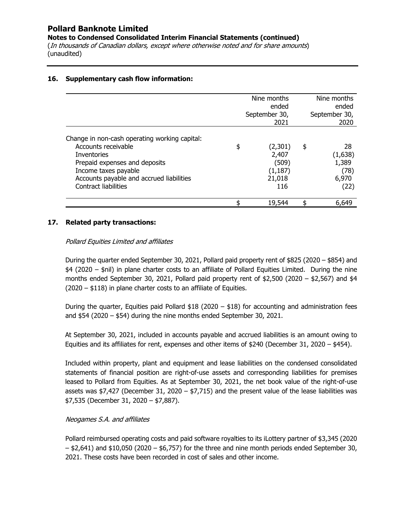**Notes to Condensed Consolidated Interim Financial Statements (continued)** 

(In thousands of Canadian dollars, except where otherwise noted and for share amounts) (unaudited)

### **16. Supplementary cash flow information:**

|                                                                                                                                                                                                                         | Nine months<br>ended<br>September 30,<br>2021                | Nine months<br>ended<br>September 30,<br>2020         |
|-------------------------------------------------------------------------------------------------------------------------------------------------------------------------------------------------------------------------|--------------------------------------------------------------|-------------------------------------------------------|
| Change in non-cash operating working capital:<br>Accounts receivable<br><b>Inventories</b><br>Prepaid expenses and deposits<br>Income taxes payable<br>Accounts payable and accrued liabilities<br>Contract liabilities | \$<br>(2,301)<br>2,407<br>(509)<br>(1, 187)<br>21,018<br>116 | \$<br>28<br>(1,638)<br>1,389<br>(78)<br>6,970<br>(22) |
|                                                                                                                                                                                                                         | \$<br>19,544                                                 | 6,649                                                 |

### **17. Related party transactions:**

### Pollard Equities Limited and affiliates

During the quarter ended September 30, 2021, Pollard paid property rent of \$825 (2020 – \$854) and \$4 (2020 – \$nil) in plane charter costs to an affiliate of Pollard Equities Limited. During the nine months ended September 30, 2021, Pollard paid property rent of  $$2,500$  (2020 –  $$2,567$ ) and  $$4$ (2020 – \$118) in plane charter costs to an affiliate of Equities.

During the quarter, Equities paid Pollard \$18 (2020 – \$18) for accounting and administration fees and  $$54$  (2020 –  $$54$ ) during the nine months ended September 30, 2021.

At September 30, 2021, included in accounts payable and accrued liabilities is an amount owing to Equities and its affiliates for rent, expenses and other items of \$240 (December 31, 2020 – \$454).

Included within property, plant and equipment and lease liabilities on the condensed consolidated statements of financial position are right-of-use assets and corresponding liabilities for premises leased to Pollard from Equities. As at September 30, 2021, the net book value of the right-of-use assets was \$7,427 (December 31, 2020 – \$7,715) and the present value of the lease liabilities was \$7,535 (December 31, 2020 – \$7,887).

### Neogames S.A. and affiliates

Pollard reimbursed operating costs and paid software royalties to its iLottery partner of \$3,345 (2020  $-$  \$2,641) and \$10,050 (2020 – \$6,757) for the three and nine month periods ended September 30, 2021. These costs have been recorded in cost of sales and other income.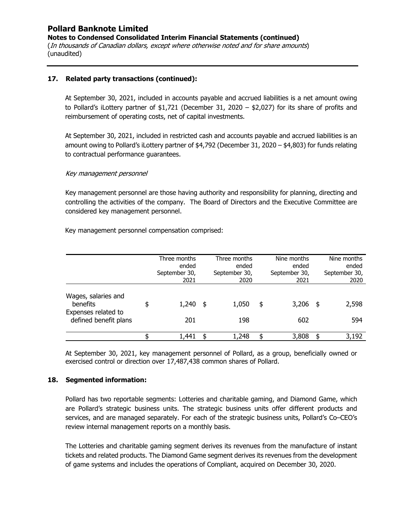**Notes to Condensed Consolidated Interim Financial Statements (continued)** 

(In thousands of Canadian dollars, except where otherwise noted and for share amounts) (unaudited)

### **17. Related party transactions (continued):**

At September 30, 2021, included in accounts payable and accrued liabilities is a net amount owing to Pollard's iLottery partner of \$1,721 (December 31, 2020 – \$2,027) for its share of profits and reimbursement of operating costs, net of capital investments.

At September 30, 2021, included in restricted cash and accounts payable and accrued liabilities is an amount owing to Pollard's iLottery partner of \$4,792 (December 31, 2020 – \$4,803) for funds relating to contractual performance guarantees.

### Key management personnel

Key management personnel are those having authority and responsibility for planning, directing and controlling the activities of the company. The Board of Directors and the Executive Committee are considered key management personnel.

Key management personnel compensation comprised:

|                                                                                 |    | Three months<br>ended<br>September 30,<br>2021 |     | Three months<br>ended<br>September 30,<br>2020 | Nine months<br>ended<br>September 30,<br>2021 |     | Nine months<br>ended<br>September 30,<br>2020 |
|---------------------------------------------------------------------------------|----|------------------------------------------------|-----|------------------------------------------------|-----------------------------------------------|-----|-----------------------------------------------|
| Wages, salaries and<br>benefits<br>Expenses related to<br>defined benefit plans | \$ | 1,240<br>201                                   | -\$ | 1,050<br>198                                   | \$<br>3,206<br>602                            | -\$ | 2,598<br>594                                  |
|                                                                                 | ፍ  | 1,441                                          | \$  | 1,248                                          | \$<br>3,808                                   | \$  | 3,192                                         |

At September 30, 2021, key management personnel of Pollard, as a group, beneficially owned or exercised control or direction over 17,487,438 common shares of Pollard.

### **18. Segmented information:**

Pollard has two reportable segments: Lotteries and charitable gaming, and Diamond Game, which are Pollard's strategic business units. The strategic business units offer different products and services, and are managed separately. For each of the strategic business units, Pollard's Co–CEO's review internal management reports on a monthly basis.

The Lotteries and charitable gaming segment derives its revenues from the manufacture of instant tickets and related products. The Diamond Game segment derives its revenues from the development of game systems and includes the operations of Compliant, acquired on December 30, 2020.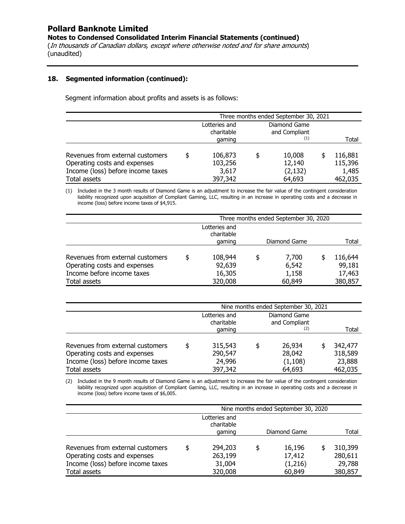**Notes to Condensed Consolidated Interim Financial Statements (continued)** 

(In thousands of Canadian dollars, except where otherwise noted and for share amounts) (unaudited)

### **18. Segmented information (continued):**

Segment information about profits and assets is as follows:

|                                   |                               | Three months ended September 30, 2021 |  |               |  |         |  |  |  |  |
|-----------------------------------|-------------------------------|---------------------------------------|--|---------------|--|---------|--|--|--|--|
|                                   | Diamond Game<br>Lotteries and |                                       |  |               |  |         |  |  |  |  |
|                                   |                               | charitable                            |  | and Compliant |  |         |  |  |  |  |
|                                   |                               | gaming                                |  | (1)           |  | Total   |  |  |  |  |
|                                   |                               |                                       |  |               |  |         |  |  |  |  |
| Revenues from external customers  | \$                            | 106,873                               |  | 10,008        |  | 116,881 |  |  |  |  |
| Operating costs and expenses      |                               | 103,256                               |  | 12,140        |  | 115,396 |  |  |  |  |
| Income (loss) before income taxes |                               | 3,617                                 |  | (2, 132)      |  | 1,485   |  |  |  |  |
| Total assets                      |                               | 397,342                               |  | 64,693        |  | 462,035 |  |  |  |  |

(1) Included in the 3 month results of Diamond Game is an adjustment to increase the fair value of the contingent consideration liability recognized upon acquisition of Compliant Gaming, LLC, resulting in an increase in operating costs and a decrease in income (loss) before income taxes of \$4,915.

|                                  | Three months ended September 30, 2020 |    |              |  |         |
|----------------------------------|---------------------------------------|----|--------------|--|---------|
|                                  | Lotteries and<br>charitable           |    |              |  |         |
|                                  | gaming                                |    | Diamond Game |  | Total   |
|                                  |                                       |    |              |  |         |
| Revenues from external customers | \$<br>108,944                         | \$ | 7,700        |  | 116,644 |
| Operating costs and expenses     | 92,639                                |    | 6,542        |  | 99,181  |
| Income before income taxes       | 16,305                                |    | 1,158        |  | 17,463  |
| Total assets                     | 320,008                               |    | 60,849       |  | 380,857 |

|                                                                  | Nine months ended September 30, 2021 |                             |    |                               |  |                    |
|------------------------------------------------------------------|--------------------------------------|-----------------------------|----|-------------------------------|--|--------------------|
|                                                                  |                                      | Lotteries and<br>charitable |    | Diamond Game<br>and Compliant |  |                    |
|                                                                  |                                      | gaming                      |    | (2)                           |  | Total              |
| Revenues from external customers<br>Operating costs and expenses | \$                                   | 315,543<br>290,547          | \$ | 26,934<br>28,042              |  | 342,477<br>318,589 |
| Income (loss) before income taxes<br>Total assets                |                                      | 24,996<br>397,342           |    | (1, 108)<br>64,693            |  | 23,888<br>462,035  |

(2) Included in the 9 month results of Diamond Game is an adjustment to increase the fair value of the contingent consideration liability recognized upon acquisition of Compliant Gaming, LLC, resulting in an increase in operating costs and a decrease in income (loss) before income taxes of \$6,005.

|                                   | Nine months ended September 30, 2020 |    |              |  |         |
|-----------------------------------|--------------------------------------|----|--------------|--|---------|
|                                   | Lotteries and<br>charitable          |    |              |  |         |
|                                   | gaming                               |    | Diamond Game |  | Total   |
|                                   |                                      |    |              |  |         |
| Revenues from external customers  | \$<br>294,203                        | \$ | 16,196       |  | 310,399 |
| Operating costs and expenses      | 263,199                              |    | 17,412       |  | 280,611 |
| Income (loss) before income taxes | 31,004                               |    | (1,216)      |  | 29,788  |
| Total assets                      | 320,008                              |    | 60,849       |  | 380,857 |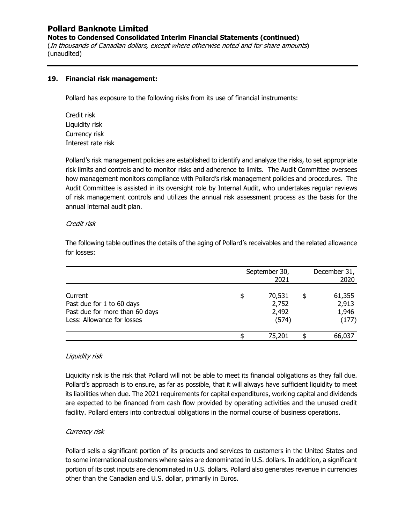**Notes to Condensed Consolidated Interim Financial Statements (continued)** 

(In thousands of Canadian dollars, except where otherwise noted and for share amounts) (unaudited)

#### **19. Financial risk management:**

Pollard has exposure to the following risks from its use of financial instruments:

Credit risk Liquidity risk Currency risk Interest rate risk

Pollard's risk management policies are established to identify and analyze the risks, to set appropriate risk limits and controls and to monitor risks and adherence to limits. The Audit Committee oversees how management monitors compliance with Pollard's risk management policies and procedures. The Audit Committee is assisted in its oversight role by Internal Audit, who undertakes regular reviews of risk management controls and utilizes the annual risk assessment process as the basis for the annual internal audit plan.

### Credit risk

The following table outlines the details of the aging of Pollard's receivables and the related allowance for losses:

|                                                                                                      | September 30,<br>2021                   |   |                                   |
|------------------------------------------------------------------------------------------------------|-----------------------------------------|---|-----------------------------------|
| Current<br>Past due for 1 to 60 days<br>Past due for more than 60 days<br>Less: Allowance for losses | \$<br>70,531<br>2,752<br>2,492<br>(574) | S | 61,355<br>2,913<br>1,946<br>(177) |
|                                                                                                      | 75,201                                  |   | 66,037                            |

### Liquidity risk

Liquidity risk is the risk that Pollard will not be able to meet its financial obligations as they fall due. Pollard's approach is to ensure, as far as possible, that it will always have sufficient liquidity to meet its liabilities when due. The 2021 requirements for capital expenditures, working capital and dividends are expected to be financed from cash flow provided by operating activities and the unused credit facility. Pollard enters into contractual obligations in the normal course of business operations.

### Currency risk

Pollard sells a significant portion of its products and services to customers in the United States and to some international customers where sales are denominated in U.S. dollars. In addition, a significant portion of its cost inputs are denominated in U.S. dollars. Pollard also generates revenue in currencies other than the Canadian and U.S. dollar, primarily in Euros.